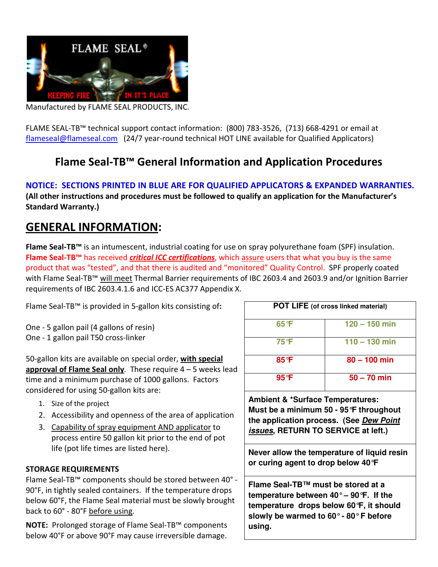

Manufactured by FLAME SEAL PRODUCTS, INC.

FLAME SEAL-TB™ technical support contact information: (800) 783-3526, (713) 668-4291 or email at flameseal@flameseal.com (24/7 year-round technical HOT LINE available for Qualified Applicators)

# Flame Seal-TB™ General Information and Application Procedures

NOTICE: SECTIONS PRINTED IN BLUE ARE FOR QUALIFIED APPLICATORS & EXPANDED WARRANTIES. (All other instructions and procedures must be followed to qualify an application for the Manufacturer's Standard Warranty.)

# GENERAL INFORMATION:

Flame Seal-TB<sup>™</sup> is an intumescent, industrial coating for use on spray polyurethane foam (SPF) insulation. Flame Seal-TB<sup>™</sup> has received *critical ICC certifications*, which assure users that what you buy is the same product that was "tested", and that there is audited and "monitored" Quality Control. SPF properly coated with Flame Seal-TB™ will meet Thermal Barrier requirements of IBC 2603.4 and 2603.9 and/or Ignition Barrier requirements of IBC 2603.4.1.6 and ICC-ES AC377 Appendix X.

Flame Seal-TB™ is provided in 5-gallon kits consisting of:

One - 5 gallon pail (4 gallons of resin) One - 1 gallon pail T50 cross-linker

50-gallon kits are available on special order, with special approval of Flame Seal only. These require  $4 - 5$  weeks lead time and a minimum purchase of 1000 gallons. Factors considered for using 50-gallon kits are:

- 1. Size of the project
- 2. Accessibility and openness of the area of application
- 3. Capability of spray equipment AND applicator to process entire 50 gallon kit prior to the end of pot life (pot life times are listed here).

#### STORAGE REQUIREMENTS

Flame Seal-TB™ components should be stored between 40° - 90°F, in tightly sealed containers. If the temperature drops below 60°F, the Flame Seal material must be slowly brought back to 60° - 80°F before using.

NOTE: Prolonged storage of Flame Seal-TB™ components below 40°F or above 90°F may cause irreversible damage.

| <b>POT LIFE</b> (of cross linked material) |                 |
|--------------------------------------------|-----------------|
| 65°F                                       | $120 - 150$ min |
| 75 °F                                      | $110 - 130$ min |
| 85°F                                       | $80 - 100$ min  |
| $95^{\circ}$ F                             | $50 - 70$ min   |

**Ambient & \*Surface Temperatures: Must be a minimum 50 - 95°F throughout the application process. (See Dew Point issues, RETURN TO SERVICE at left.)** 

**Never allow the temperature of liquid resin or curing agent to drop below 40°F** 

**Flame Seal-TB™ must be stored at a temperature between 40° – 90°F. If the temperature drops below 60°F, it should slowly be warmed to 60° - 80° F before using.**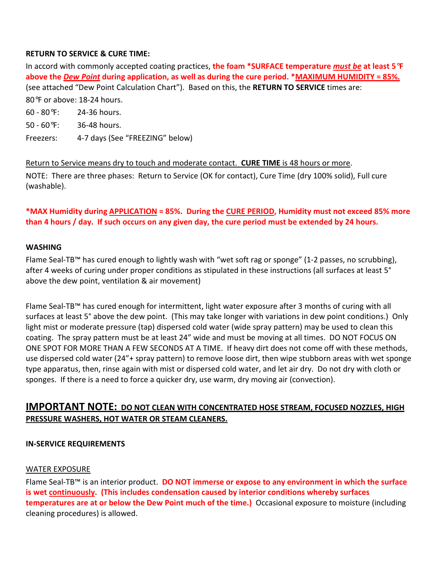#### RETURN TO SERVICE & CURE TIME:

In accord with commonly accepted coating practices, the foam \*SURFACE temperature must be at least 5**°**F above the *Dew Point* during application, as well as during the cure period. \*MAXIMUM HUMIDITY = 85%. (see attached "Dew Point Calculation Chart"). Based on this, the RETURN TO SERVICE times are: 80°F or above: 18-24 hours.

- 60 80°F: 24-36 hours.
- 50 60°F: 36-48 hours.
- Freezers: 4-7 days (See "FREEZING" below)

### Return to Service means dry to touch and moderate contact. CURE TIME is 48 hours or more.

NOTE: There are three phases: Return to Service (OK for contact), Cure Time (dry 100% solid), Full cure (washable).

## \*MAX Humidity during APPLICATION = 85%. During the CURE PERIOD, Humidity must not exceed 85% more than 4 hours / day. If such occurs on any given day, the cure period must be extended by 24 hours.

#### WASHING

Flame Seal-TB™ has cured enough to lightly wash with "wet soft rag or sponge" (1-2 passes, no scrubbing), after 4 weeks of curing under proper conditions as stipulated in these instructions (all surfaces at least 5° above the dew point, ventilation & air movement)

Flame Seal-TB™ has cured enough for intermittent, light water exposure after 3 months of curing with all surfaces at least 5° above the dew point. (This may take longer with variations in dew point conditions.) Only light mist or moderate pressure (tap) dispersed cold water (wide spray pattern) may be used to clean this coating. The spray pattern must be at least 24" wide and must be moving at all times. DO NOT FOCUS ON ONE SPOT FOR MORE THAN A FEW SECONDS AT A TIME. If heavy dirt does not come off with these methods, use dispersed cold water (24"+ spray pattern) to remove loose dirt, then wipe stubborn areas with wet sponge type apparatus, then, rinse again with mist or dispersed cold water, and let air dry. Do not dry with cloth or sponges. If there is a need to force a quicker dry, use warm, dry moving air (convection).

## IMPORTANT NOTE: DO NOT CLEAN WITH CONCENTRATED HOSE STREAM, FOCUSED NOZZLES, HIGH PRESSURE WASHERS, HOT WATER OR STEAM CLEANERS.

#### IN-SERVICE REQUIREMENTS

#### WATER EXPOSURE

Flame Seal-TB™ is an interior product. DO NOT immerse or expose to any environment in which the surface is wet continuously. (This includes condensation caused by interior conditions whereby surfaces temperatures are at or below the Dew Point much of the time.) Occasional exposure to moisture (including cleaning procedures) is allowed.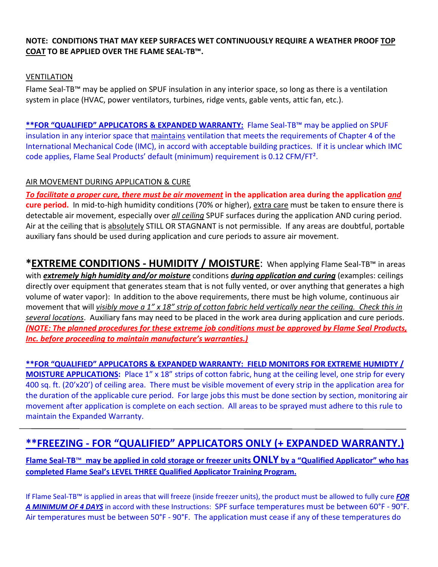#### NOTE: CONDITIONS THAT MAY KEEP SURFACES WET CONTINUOUSLY REQUIRE A WEATHER PROOF TOP COAT TO BE APPLIED OVER THE FLAME SEAL-TB™.

#### VENTILATION

Flame Seal-TB™ may be applied on SPUF insulation in any interior space, so long as there is a ventilation system in place (HVAC, power ventilators, turbines, ridge vents, gable vents, attic fan, etc.).

\*\*FOR "QUALIFIED" APPLICATORS & EXPANDED WARRANTY: Flame Seal-TB™ may be applied on SPUF insulation in any interior space that maintains ventilation that meets the requirements of Chapter 4 of the International Mechanical Code (IMC), in accord with acceptable building practices. If it is unclear which IMC code applies, Flame Seal Products' default (minimum) requirement is 0.12 CFM/FT².

#### AIR MOVEMENT DURING APPLICATION & CURE

To facilitate a proper cure, there must be air movement in the application area during the application and cure period. In mid-to-high humidity conditions (70% or higher), extra care must be taken to ensure there is detectable air movement, especially over *all ceiling* SPUF surfaces during the application AND curing period. Air at the ceiling that is absolutely STILL OR STAGNANT is not permissible. If any areas are doubtful, portable auxiliary fans should be used during application and cure periods to assure air movement.

\*EXTREME CONDITIONS - HUMIDITY / MOISTURE: When applying Flame Seal-TB™ in areas with extremely high humidity and/or moisture conditions during application and curing (examples: ceilings directly over equipment that generates steam that is not fully vented, or over anything that generates a high volume of water vapor): In addition to the above requirements, there must be high volume, continuous air movement that will visibly move a 1" x 18" strip of cotton fabric held vertically near the ceiling. Check this in several locations. Auxiliary fans may need to be placed in the work area during application and cure periods. (NOTE: The planned procedures for these extreme job conditions must be approved by Flame Seal Products, Inc. before proceeding to maintain manufacture's warranties.)

\*\*FOR "QUALIFIED" APPLICATORS & EXPANDED WARRANTY: FIELD MONITORS FOR EXTREME HUMIDTY / MOISTURE APPLICATIONS: Place 1" x 18" strips of cotton fabric, hung at the ceiling level, one strip for every 400 sq. ft. (20'x20') of ceiling area. There must be visible movement of every strip in the application area for the duration of the applicable cure period. For large jobs this must be done section by section, monitoring air movement after application is complete on each section. All areas to be sprayed must adhere to this rule to maintain the Expanded Warranty.

# \*\*FREEZING - FOR "QUALIFIED" APPLICATORS ONLY (+ EXPANDED WARRANTY.)

Flame Seal-TB™ may be applied in cold storage or freezer units ONLY by a "Qualified Applicator" who has completed Flame Seal's LEVEL THREE Qualified Applicator Training Program.

If Flame Seal-TB™ is applied in areas that will freeze (inside freezer units), the product must be allowed to fully cure FOR A MINIMUM OF 4 DAYS in accord with these Instructions: SPF surface temperatures must be between 60°F - 90°F. Air temperatures must be between 50°F - 90°F. The application must cease if any of these temperatures do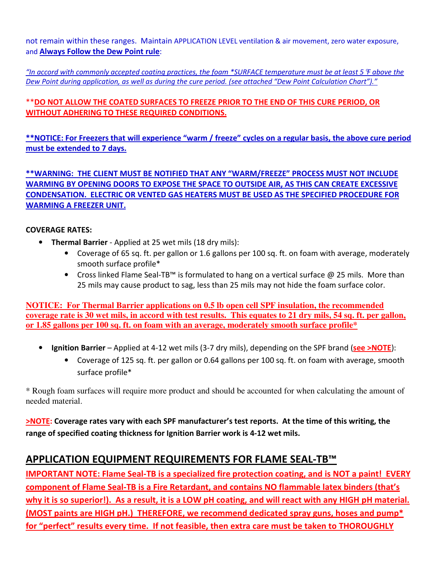not remain within these ranges. Maintain APPLICATION LEVEL ventilation & air movement, zero water exposure, and Always Follow the Dew Point rule:

"In accord with commonly accepted coating practices, the foam \*SURFACE temperature must be at least 5  $\mathcal F$  above the Dew Point during application, as well as during the cure period. (see attached "Dew Point Calculation Chart")."

## \*\*DO NOT ALLOW THE COATED SURFACES TO FREEZE PRIOR TO THE END OF THIS CURE PERIOD, OR WITHOUT ADHERING TO THESE REQUIRED CONDITIONS.

\*\*NOTICE: For Freezers that will experience "warm / freeze" cycles on a regular basis, the above cure period must be extended to 7 days.

\*\*WARNING: THE CLIENT MUST BE NOTIFIED THAT ANY "WARM/FREEZE" PROCESS MUST NOT INCLUDE WARMING BY OPENING DOORS TO EXPOSE THE SPACE TO OUTSIDE AIR, AS THIS CAN CREATE EXCESSIVE CONDENSATION. ELECTRIC OR VENTED GAS HEATERS MUST BE USED AS THE SPECIFIED PROCEDURE FOR WARMING A FREEZER UNIT.

### COVERAGE RATES:

- Thermal Barrier Applied at 25 wet mils (18 dry mils):
	- Coverage of 65 sq. ft. per gallon or 1.6 gallons per 100 sq. ft. on foam with average, moderately smooth surface profile\*
	- Cross linked Flame Seal-TB™ is formulated to hang on a vertical surface @ 25 mils. More than 25 mils may cause product to sag, less than 25 mils may not hide the foam surface color.

**NOTICE: For Thermal Barrier applications on 0.5 lb open cell SPF insulation, the recommended coverage rate is 30 wet mils, in accord with test results. This equates to 21 dry mils, 54 sq. ft. per gallon, or 1.85 gallons per 100 sq. ft. on foam with an average, moderately smooth surface profile\*** 

- Ignition Barrier Applied at 4-12 wet mils (3-7 dry mils), depending on the SPF brand (see >NOTE):
	- Coverage of 125 sq. ft. per gallon or 0.64 gallons per 100 sq. ft. on foam with average, smooth surface profile\*

\* Rough foam surfaces will require more product and should be accounted for when calculating the amount of needed material.

>NOTE: Coverage rates vary with each SPF manufacturer's test reports. At the time of this writing, the range of specified coating thickness for Ignition Barrier work is 4-12 wet mils.

# APPLICATION EQUIPMENT REQUIREMENTS FOR FLAME SEAL-TB™

IMPORTANT NOTE: Flame Seal-TB is a specialized fire protection coating, and is NOT a paint! EVERY component of Flame Seal-TB is a Fire Retardant, and contains NO flammable latex binders (that's why it is so superior!). As a result, it is a LOW pH coating, and will react with any HIGH pH material. (MOST paints are HIGH pH.) THEREFORE, we recommend dedicated spray guns, hoses and pump\* for "perfect" results every time. If not feasible, then extra care must be taken to THOROUGHLY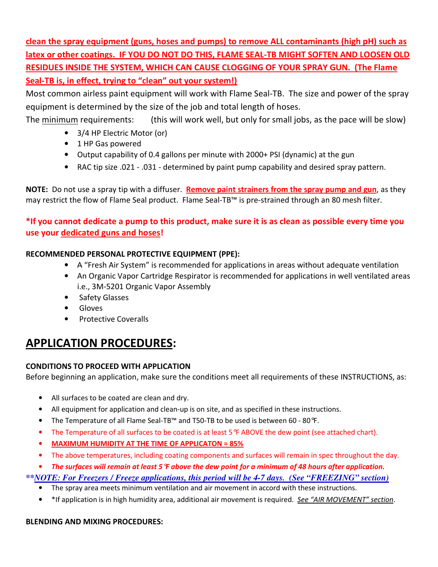clean the spray equipment (guns, hoses and pumps) to remove ALL contaminants (high pH) such as latex or other coatings. IF YOU DO NOT DO THIS, FLAME SEAL-TB MIGHT SOFTEN AND LOOSEN OLD RESIDUES INSIDE THE SYSTEM, WHICH CAN CAUSE CLOGGING OF YOUR SPRAY GUN. (The Flame Seal-TB is, in effect, trying to "clean" out your system!)

Most common airless paint equipment will work with Flame Seal-TB. The size and power of the spray equipment is determined by the size of the job and total length of hoses.

The minimum requirements: (this will work well, but only for small jobs, as the pace will be slow)

- 3/4 HP Electric Motor (or)
- 1 HP Gas powered
- Output capability of 0.4 gallons per minute with 2000+ PSI (dynamic) at the gun
- RAC tip size .021 .031 determined by paint pump capability and desired spray pattern.

NOTE: Do not use a spray tip with a diffuser. Remove paint strainers from the spray pump and gun, as they may restrict the flow of Flame Seal product. Flame Seal-TB™ is pre-strained through an 80 mesh filter.

## \*If you cannot dedicate a pump to this product, make sure it is as clean as possible every time you use your dedicated guns and hoses!

## RECOMMENDED PERSONAL PROTECTIVE EQUIPMENT (PPE):

- A "Fresh Air System" is recommended for applications in areas without adequate ventilation
- An Organic Vapor Cartridge Respirator is recommended for applications in well ventilated areas i.e., 3M-5201 Organic Vapor Assembly
- Safety Glasses
- Gloves
- Protective Coveralls

# APPLICATION PROCEDURES:

## CONDITIONS TO PROCEED WITH APPLICATION

Before beginning an application, make sure the conditions meet all requirements of these INSTRUCTIONS, as:

- All surfaces to be coated are clean and dry.
- All equipment for application and clean-up is on site, and as specified in these instructions.
- The Temperature of all Flame Seal-TB™ and T50-TB to be used is between 60 80°F.
- The Temperature of all surfaces to be coated is at least 5 °F ABOVE the dew point (see attached chart).
- MAXIMUM HUMIDITY AT THE TIME OF APPLICATON = 85%
- The above temperatures, including coating components and surfaces will remain in spec throughout the day.
- The surfaces will remain at least 5**°**F above the dew point for a minimum of 48 hours after application.

## *\*\*NOTE: For Freezers / Freeze applications, this period will be 4-7 days. (See "FREEZING" section)*

- The spray area meets minimum ventilation and air movement in accord with these instructions.
- \*If application is in high humidity area, additional air movement is required. See "AIR MOVEMENT" section.

## BLENDING AND MIXING PROCEDURES: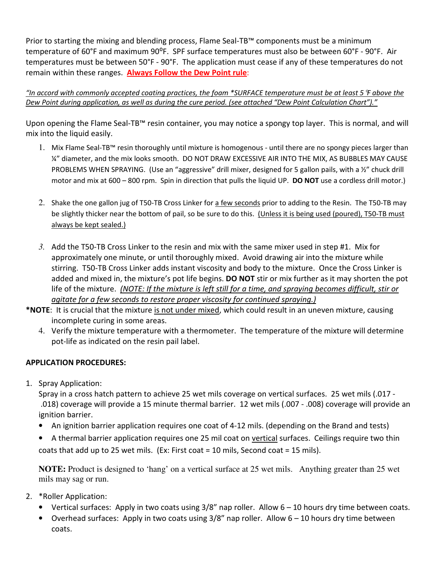Prior to starting the mixing and blending process, Flame Seal-TB<sup>™</sup> components must be a minimum temperature of 60°F and maximum 90°F. SPF surface temperatures must also be between 60°F - 90°F. Air temperatures must be between 50°F - 90°F. The application must cease if any of these temperatures do not remain within these ranges. Always Follow the Dew Point rule:

"In accord with commonly accepted coating practices, the foam \*SURFACE temperature must be at least 5  $\mathcal F$  above the Dew Point during application, as well as during the cure period. (see attached "Dew Point Calculation Chart")."

Upon opening the Flame Seal-TB™ resin container, you may notice a spongy top layer. This is normal, and will mix into the liquid easily.

- 1. Mix Flame Seal-TB™ resin thoroughly until mixture is homogenous until there are no spongy pieces larger than ¼" diameter, and the mix looks smooth. DO NOT DRAW EXCESSIVE AIR INTO THE MIX, AS BUBBLES MAY CAUSE PROBLEMS WHEN SPRAYING. (Use an "aggressive" drill mixer, designed for 5 gallon pails, with a ½" chuck drill motor and mix at 600 – 800 rpm. Spin in direction that pulls the liquid UP. DO NOT use a cordless drill motor.)
- 2. Shake the one gallon jug of T50-TB Cross Linker for a few seconds prior to adding to the Resin. The T50-TB may be slightly thicker near the bottom of pail, so be sure to do this. (Unless it is being used (poured), T50-TB must always be kept sealed.)
- *3.* Add the T50-TB Cross Linker to the resin and mix with the same mixer used in step #1. Mix for approximately one minute, or until thoroughly mixed. Avoid drawing air into the mixture while stirring. T50-TB Cross Linker adds instant viscosity and body to the mixture. Once the Cross Linker is added and mixed in, the mixture's pot life begins. **DO NOT** stir or mix further as it may shorten the pot life of the mixture. (NOTE: If the mixture is left still for a time, and spraying becomes difficult, stir or agitate for a few seconds to restore proper viscosity for continued spraying.)
- \*NOTE: It is crucial that the mixture is not under mixed, which could result in an uneven mixture, causing incomplete curing in some areas.
	- 4. Verify the mixture temperature with a thermometer. The temperature of the mixture will determine pot-life as indicated on the resin pail label.

## APPLICATION PROCEDURES:

1. Spray Application:

Spray in a cross hatch pattern to achieve 25 wet mils coverage on vertical surfaces. 25 wet mils (.017 - .018) coverage will provide a 15 minute thermal barrier. 12 wet mils (.007 - .008) coverage will provide an ignition barrier.

- An ignition barrier application requires one coat of 4-12 mils. (depending on the Brand and tests)
- A thermal barrier application requires one 25 mil coat on vertical surfaces. Ceilings require two thin coats that add up to 25 wet mils. (Ex: First coat = 10 mils, Second coat = 15 mils).

**NOTE:** Product is designed to 'hang' on a vertical surface at 25 wet mils. Anything greater than 25 wet mils may sag or run.

- 2. \*Roller Application:
	- Vertical surfaces: Apply in two coats using 3/8" nap roller. Allow 6 10 hours dry time between coats.
	- Overhead surfaces: Apply in two coats using 3/8" nap roller. Allow 6 10 hours dry time between coats.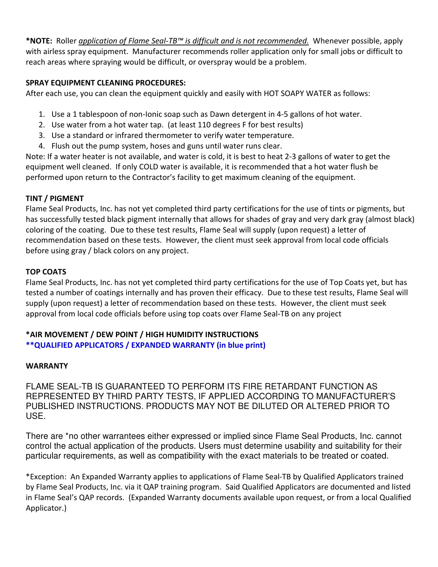\*NOTE: Roller *application of Flame Seal-TB™ is difficult and is not recommended*. Whenever possible, apply with airless spray equipment. Manufacturer recommends roller application only for small jobs or difficult to reach areas where spraying would be difficult, or overspray would be a problem.

### SPRAY EQUIPMENT CLEANING PROCEDURES:

After each use, you can clean the equipment quickly and easily with HOT SOAPY WATER as follows:

- 1. Use a 1 tablespoon of non-Ionic soap such as Dawn detergent in 4-5 gallons of hot water.
- 2. Use water from a hot water tap. (at least 110 degrees F for best results)
- 3. Use a standard or infrared thermometer to verify water temperature.
- 4. Flush out the pump system, hoses and guns until water runs clear.

Note: If a water heater is not available, and water is cold, it is best to heat 2-3 gallons of water to get the equipment well cleaned. If only COLD water is available, it is recommended that a hot water flush be performed upon return to the Contractor's facility to get maximum cleaning of the equipment.

### TINT / PIGMENT

Flame Seal Products, Inc. has not yet completed third party certifications for the use of tints or pigments, but has successfully tested black pigment internally that allows for shades of gray and very dark gray (almost black) coloring of the coating. Due to these test results, Flame Seal will supply (upon request) a letter of recommendation based on these tests. However, the client must seek approval from local code officials before using gray / black colors on any project.

### TOP COATS

Flame Seal Products, Inc. has not yet completed third party certifications for the use of Top Coats yet, but has tested a number of coatings internally and has proven their efficacy. Due to these test results, Flame Seal will supply (upon request) a letter of recommendation based on these tests. However, the client must seek approval from local code officials before using top coats over Flame Seal-TB on any project

## \*AIR MOVEMENT / DEW POINT / HIGH HUMIDITY INSTRUCTIONS

\*\*QUALIFIED APPLICATORS / EXPANDED WARRANTY (in blue print)

## **WARRANTY**

FLAME SEAL-TB IS GUARANTEED TO PERFORM ITS FIRE RETARDANT FUNCTION AS REPRESENTED BY THIRD PARTY TESTS, IF APPLIED ACCORDING TO MANUFACTURER'S PUBLISHED INSTRUCTIONS. PRODUCTS MAY NOT BE DILUTED OR ALTERED PRIOR TO USE.

There are \*no other warrantees either expressed or implied since Flame Seal Products, Inc. cannot control the actual application of the products. Users must determine usability and suitability for their particular requirements, as well as compatibility with the exact materials to be treated or coated.

\*Exception: An Expanded Warranty applies to applications of Flame Seal-TB by Qualified Applicators trained by Flame Seal Products, Inc. via it QAP training program. Said Qualified Applicators are documented and listed in Flame Seal's QAP records. (Expanded Warranty documents available upon request, or from a local Qualified Applicator.)